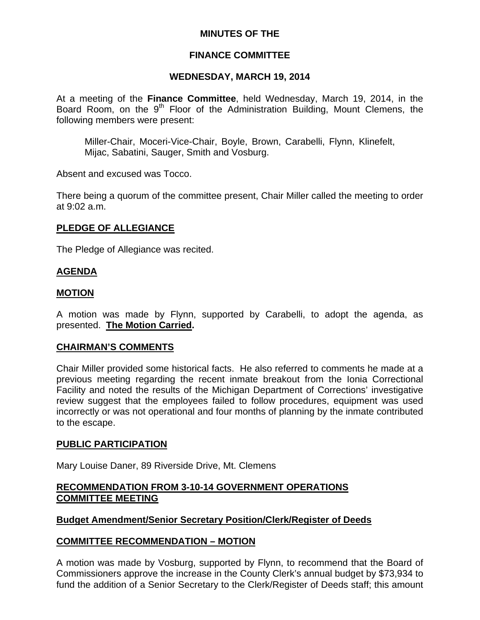# **MINUTES OF THE**

### **FINANCE COMMITTEE**

### **WEDNESDAY, MARCH 19, 2014**

At a meeting of the **Finance Committee**, held Wednesday, March 19, 2014, in the Board Room, on the 9<sup>th</sup> Floor of the Administration Building, Mount Clemens, the following members were present:

Miller-Chair, Moceri-Vice-Chair, Boyle, Brown, Carabelli, Flynn, Klinefelt, Mijac, Sabatini, Sauger, Smith and Vosburg.

Absent and excused was Tocco.

There being a quorum of the committee present, Chair Miller called the meeting to order at 9:02 a.m.

### **PLEDGE OF ALLEGIANCE**

The Pledge of Allegiance was recited.

### **AGENDA**

### **MOTION**

A motion was made by Flynn, supported by Carabelli, to adopt the agenda, as presented. **The Motion Carried.** 

### **CHAIRMAN'S COMMENTS**

Chair Miller provided some historical facts. He also referred to comments he made at a previous meeting regarding the recent inmate breakout from the Ionia Correctional Facility and noted the results of the Michigan Department of Corrections' investigative review suggest that the employees failed to follow procedures, equipment was used incorrectly or was not operational and four months of planning by the inmate contributed to the escape.

### **PUBLIC PARTICIPATION**

Mary Louise Daner, 89 Riverside Drive, Mt. Clemens

### **RECOMMENDATION FROM 3-10-14 GOVERNMENT OPERATIONS COMMITTEE MEETING**

### **Budget Amendment/Senior Secretary Position/Clerk/Register of Deeds**

### **COMMITTEE RECOMMENDATION – MOTION**

A motion was made by Vosburg, supported by Flynn, to recommend that the Board of Commissioners approve the increase in the County Clerk's annual budget by \$73,934 to fund the addition of a Senior Secretary to the Clerk/Register of Deeds staff; this amount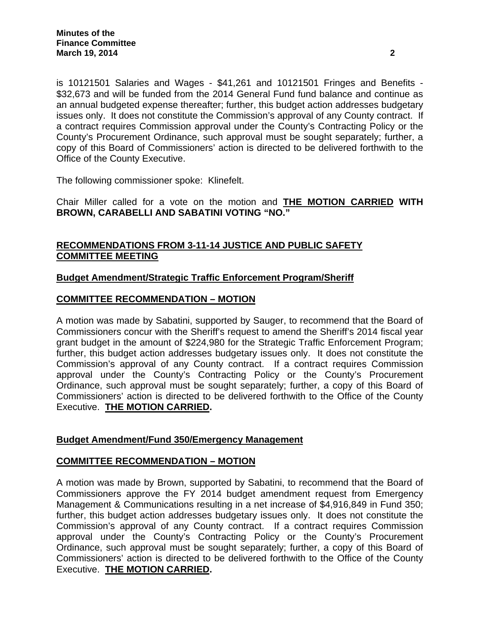is 10121501 Salaries and Wages - \$41,261 and 10121501 Fringes and Benefits - \$32,673 and will be funded from the 2014 General Fund fund balance and continue as an annual budgeted expense thereafter; further, this budget action addresses budgetary issues only. It does not constitute the Commission's approval of any County contract. If a contract requires Commission approval under the County's Contracting Policy or the County's Procurement Ordinance, such approval must be sought separately; further, a copy of this Board of Commissioners' action is directed to be delivered forthwith to the Office of the County Executive.

The following commissioner spoke: Klinefelt.

Chair Miller called for a vote on the motion and **THE MOTION CARRIED WITH BROWN, CARABELLI AND SABATINI VOTING "NO."** 

# **RECOMMENDATIONS FROM 3-11-14 JUSTICE AND PUBLIC SAFETY COMMITTEE MEETING**

# **Budget Amendment/Strategic Traffic Enforcement Program/Sheriff**

# **COMMITTEE RECOMMENDATION – MOTION**

A motion was made by Sabatini, supported by Sauger, to recommend that the Board of Commissioners concur with the Sheriff's request to amend the Sheriff's 2014 fiscal year grant budget in the amount of \$224,980 for the Strategic Traffic Enforcement Program; further, this budget action addresses budgetary issues only. It does not constitute the Commission's approval of any County contract. If a contract requires Commission approval under the County's Contracting Policy or the County's Procurement Ordinance, such approval must be sought separately; further, a copy of this Board of Commissioners' action is directed to be delivered forthwith to the Office of the County Executive. **THE MOTION CARRIED.** 

# **Budget Amendment/Fund 350/Emergency Management**

# **COMMITTEE RECOMMENDATION – MOTION**

A motion was made by Brown, supported by Sabatini, to recommend that the Board of Commissioners approve the FY 2014 budget amendment request from Emergency Management & Communications resulting in a net increase of \$4,916,849 in Fund 350; further, this budget action addresses budgetary issues only. It does not constitute the Commission's approval of any County contract. If a contract requires Commission approval under the County's Contracting Policy or the County's Procurement Ordinance, such approval must be sought separately; further, a copy of this Board of Commissioners' action is directed to be delivered forthwith to the Office of the County Executive. **THE MOTION CARRIED.**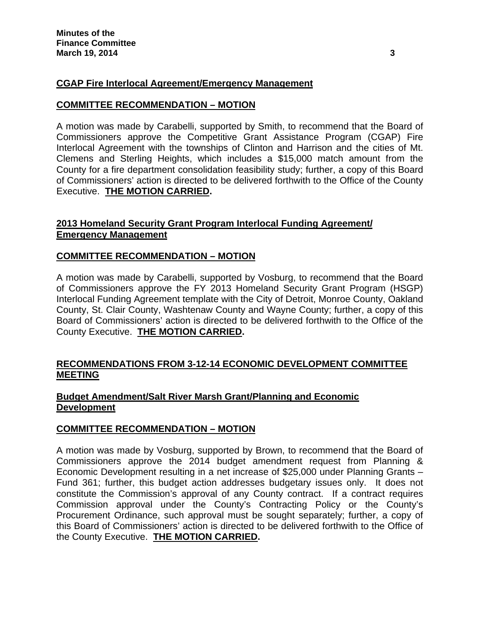# **CGAP Fire Interlocal Agreement/Emergency Management**

### **COMMITTEE RECOMMENDATION – MOTION**

A motion was made by Carabelli, supported by Smith, to recommend that the Board of Commissioners approve the Competitive Grant Assistance Program (CGAP) Fire Interlocal Agreement with the townships of Clinton and Harrison and the cities of Mt. Clemens and Sterling Heights, which includes a \$15,000 match amount from the County for a fire department consolidation feasibility study; further, a copy of this Board of Commissioners' action is directed to be delivered forthwith to the Office of the County Executive. **THE MOTION CARRIED.** 

# **2013 Homeland Security Grant Program Interlocal Funding Agreement/ Emergency Management**

### **COMMITTEE RECOMMENDATION – MOTION**

A motion was made by Carabelli, supported by Vosburg, to recommend that the Board of Commissioners approve the FY 2013 Homeland Security Grant Program (HSGP) Interlocal Funding Agreement template with the City of Detroit, Monroe County, Oakland County, St. Clair County, Washtenaw County and Wayne County; further, a copy of this Board of Commissioners' action is directed to be delivered forthwith to the Office of the County Executive. **THE MOTION CARRIED.** 

### **RECOMMENDATIONS FROM 3-12-14 ECONOMIC DEVELOPMENT COMMITTEE MEETING**

### **Budget Amendment/Salt River Marsh Grant/Planning and Economic Development**

### **COMMITTEE RECOMMENDATION – MOTION**

A motion was made by Vosburg, supported by Brown, to recommend that the Board of Commissioners approve the 2014 budget amendment request from Planning & Economic Development resulting in a net increase of \$25,000 under Planning Grants – Fund 361; further, this budget action addresses budgetary issues only. It does not constitute the Commission's approval of any County contract. If a contract requires Commission approval under the County's Contracting Policy or the County's Procurement Ordinance, such approval must be sought separately; further, a copy of this Board of Commissioners' action is directed to be delivered forthwith to the Office of the County Executive. **THE MOTION CARRIED.**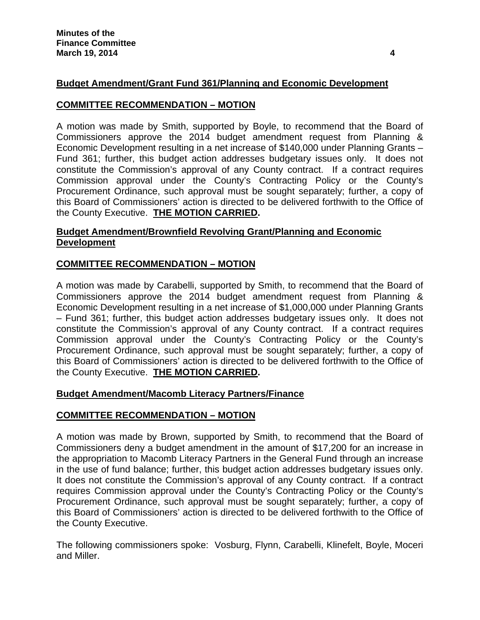# **Budget Amendment/Grant Fund 361/Planning and Economic Development**

### **COMMITTEE RECOMMENDATION – MOTION**

A motion was made by Smith, supported by Boyle, to recommend that the Board of Commissioners approve the 2014 budget amendment request from Planning & Economic Development resulting in a net increase of \$140,000 under Planning Grants – Fund 361; further, this budget action addresses budgetary issues only. It does not constitute the Commission's approval of any County contract. If a contract requires Commission approval under the County's Contracting Policy or the County's Procurement Ordinance, such approval must be sought separately; further, a copy of this Board of Commissioners' action is directed to be delivered forthwith to the Office of the County Executive. **THE MOTION CARRIED.** 

# **Budget Amendment/Brownfield Revolving Grant/Planning and Economic Development**

# **COMMITTEE RECOMMENDATION – MOTION**

A motion was made by Carabelli, supported by Smith, to recommend that the Board of Commissioners approve the 2014 budget amendment request from Planning & Economic Development resulting in a net increase of \$1,000,000 under Planning Grants – Fund 361; further, this budget action addresses budgetary issues only. It does not constitute the Commission's approval of any County contract. If a contract requires Commission approval under the County's Contracting Policy or the County's Procurement Ordinance, such approval must be sought separately; further, a copy of this Board of Commissioners' action is directed to be delivered forthwith to the Office of the County Executive. **THE MOTION CARRIED.** 

# **Budget Amendment/Macomb Literacy Partners/Finance**

### **COMMITTEE RECOMMENDATION – MOTION**

A motion was made by Brown, supported by Smith, to recommend that the Board of Commissioners deny a budget amendment in the amount of \$17,200 for an increase in the appropriation to Macomb Literacy Partners in the General Fund through an increase in the use of fund balance; further, this budget action addresses budgetary issues only. It does not constitute the Commission's approval of any County contract. If a contract requires Commission approval under the County's Contracting Policy or the County's Procurement Ordinance, such approval must be sought separately; further, a copy of this Board of Commissioners' action is directed to be delivered forthwith to the Office of the County Executive.

The following commissioners spoke: Vosburg, Flynn, Carabelli, Klinefelt, Boyle, Moceri and Miller.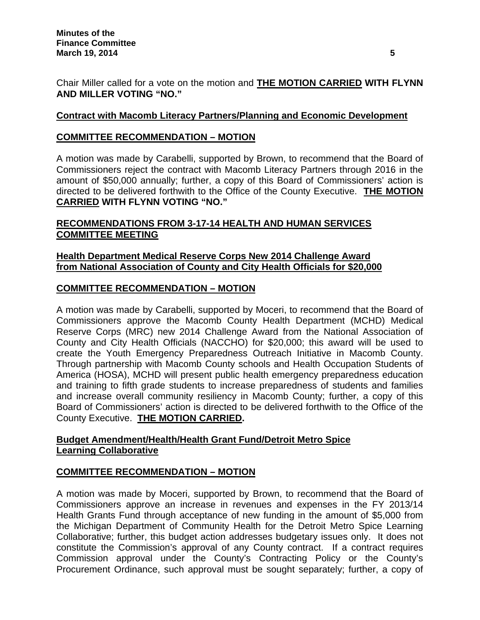Chair Miller called for a vote on the motion and **THE MOTION CARRIED WITH FLYNN AND MILLER VOTING "NO."** 

## **Contract with Macomb Literacy Partners/Planning and Economic Development**

### **COMMITTEE RECOMMENDATION – MOTION**

A motion was made by Carabelli, supported by Brown, to recommend that the Board of Commissioners reject the contract with Macomb Literacy Partners through 2016 in the amount of \$50,000 annually; further, a copy of this Board of Commissioners' action is directed to be delivered forthwith to the Office of the County Executive. **THE MOTION CARRIED WITH FLYNN VOTING "NO."** 

# **RECOMMENDATIONS FROM 3-17-14 HEALTH AND HUMAN SERVICES COMMITTEE MEETING**

### **Health Department Medical Reserve Corps New 2014 Challenge Award from National Association of County and City Health Officials for \$20,000**

### **COMMITTEE RECOMMENDATION – MOTION**

A motion was made by Carabelli, supported by Moceri, to recommend that the Board of Commissioners approve the Macomb County Health Department (MCHD) Medical Reserve Corps (MRC) new 2014 Challenge Award from the National Association of County and City Health Officials (NACCHO) for \$20,000; this award will be used to create the Youth Emergency Preparedness Outreach Initiative in Macomb County. Through partnership with Macomb County schools and Health Occupation Students of America (HOSA), MCHD will present public health emergency preparedness education and training to fifth grade students to increase preparedness of students and families and increase overall community resiliency in Macomb County; further, a copy of this Board of Commissioners' action is directed to be delivered forthwith to the Office of the County Executive. **THE MOTION CARRIED.** 

# **Budget Amendment/Health/Health Grant Fund/Detroit Metro Spice Learning Collaborative**

### **COMMITTEE RECOMMENDATION – MOTION**

A motion was made by Moceri, supported by Brown, to recommend that the Board of Commissioners approve an increase in revenues and expenses in the FY 2013/14 Health Grants Fund through acceptance of new funding in the amount of \$5,000 from the Michigan Department of Community Health for the Detroit Metro Spice Learning Collaborative; further, this budget action addresses budgetary issues only. It does not constitute the Commission's approval of any County contract. If a contract requires Commission approval under the County's Contracting Policy or the County's Procurement Ordinance, such approval must be sought separately; further, a copy of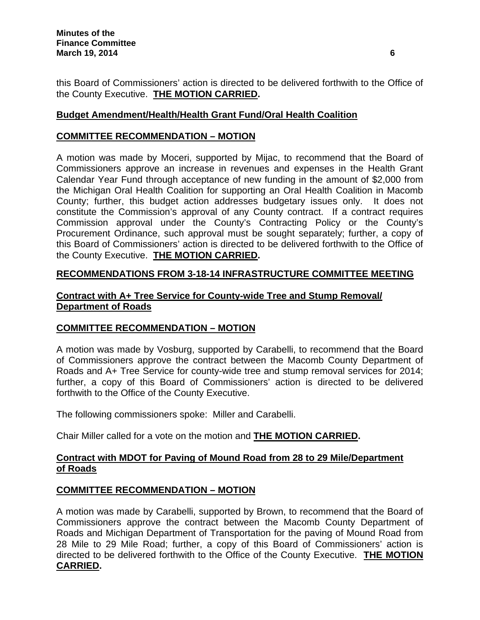this Board of Commissioners' action is directed to be delivered forthwith to the Office of the County Executive. **THE MOTION CARRIED.** 

# **Budget Amendment/Health/Health Grant Fund/Oral Health Coalition**

# **COMMITTEE RECOMMENDATION – MOTION**

A motion was made by Moceri, supported by Mijac, to recommend that the Board of Commissioners approve an increase in revenues and expenses in the Health Grant Calendar Year Fund through acceptance of new funding in the amount of \$2,000 from the Michigan Oral Health Coalition for supporting an Oral Health Coalition in Macomb County; further, this budget action addresses budgetary issues only. It does not constitute the Commission's approval of any County contract. If a contract requires Commission approval under the County's Contracting Policy or the County's Procurement Ordinance, such approval must be sought separately; further, a copy of this Board of Commissioners' action is directed to be delivered forthwith to the Office of the County Executive. **THE MOTION CARRIED.** 

# **RECOMMENDATIONS FROM 3-18-14 INFRASTRUCTURE COMMITTEE MEETING**

# **Contract with A+ Tree Service for County-wide Tree and Stump Removal/ Department of Roads**

# **COMMITTEE RECOMMENDATION – MOTION**

A motion was made by Vosburg, supported by Carabelli, to recommend that the Board of Commissioners approve the contract between the Macomb County Department of Roads and A+ Tree Service for county-wide tree and stump removal services for 2014; further, a copy of this Board of Commissioners' action is directed to be delivered forthwith to the Office of the County Executive.

The following commissioners spoke: Miller and Carabelli.

Chair Miller called for a vote on the motion and **THE MOTION CARRIED.** 

# **Contract with MDOT for Paving of Mound Road from 28 to 29 Mile/Department of Roads**

# **COMMITTEE RECOMMENDATION – MOTION**

A motion was made by Carabelli, supported by Brown, to recommend that the Board of Commissioners approve the contract between the Macomb County Department of Roads and Michigan Department of Transportation for the paving of Mound Road from 28 Mile to 29 Mile Road; further, a copy of this Board of Commissioners' action is directed to be delivered forthwith to the Office of the County Executive. **THE MOTION CARRIED.**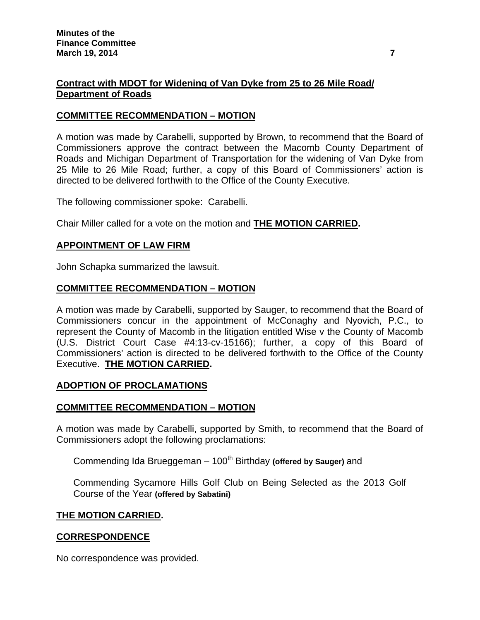# **Contract with MDOT for Widening of Van Dyke from 25 to 26 Mile Road/ Department of Roads**

### **COMMITTEE RECOMMENDATION – MOTION**

A motion was made by Carabelli, supported by Brown, to recommend that the Board of Commissioners approve the contract between the Macomb County Department of Roads and Michigan Department of Transportation for the widening of Van Dyke from 25 Mile to 26 Mile Road; further, a copy of this Board of Commissioners' action is directed to be delivered forthwith to the Office of the County Executive.

The following commissioner spoke: Carabelli.

Chair Miller called for a vote on the motion and **THE MOTION CARRIED.** 

### **APPOINTMENT OF LAW FIRM**

John Schapka summarized the lawsuit.

### **COMMITTEE RECOMMENDATION – MOTION**

A motion was made by Carabelli, supported by Sauger, to recommend that the Board of Commissioners concur in the appointment of McConaghy and Nyovich, P.C., to represent the County of Macomb in the litigation entitled Wise v the County of Macomb (U.S. District Court Case #4:13-cv-15166); further, a copy of this Board of Commissioners' action is directed to be delivered forthwith to the Office of the County Executive. **THE MOTION CARRIED.** 

### **ADOPTION OF PROCLAMATIONS**

### **COMMITTEE RECOMMENDATION – MOTION**

A motion was made by Carabelli, supported by Smith, to recommend that the Board of Commissioners adopt the following proclamations:

Commending Ida Brueggeman – 100<sup>th</sup> Birthday (offered by Sauger) and

Commending Sycamore Hills Golf Club on Being Selected as the 2013 Golf Course of the Year **(offered by Sabatini)**

#### **THE MOTION CARRIED.**

### **CORRESPONDENCE**

No correspondence was provided.